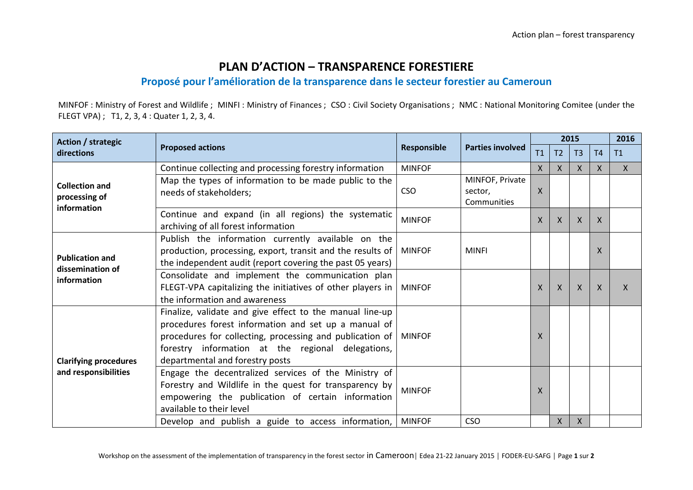## **PLAN D'ACTION – TRANSPARENCE FORESTIERE**

## **Proposé pour l'amélioration de la transparence dans le secteur forestier au Cameroun**

MINFOF : Ministry of Forest and Wildlife ; MINFI : Ministry of Finances ; CSO : Civil Society Organisations ; NMC : National Monitoring Comitee (under the FLEGT VPA) ; T1, 2, 3, 4 : Quater 1, 2, 3, 4.

| Action / strategic<br>directions                          | <b>Proposed actions</b>                                                                                                                                                                                                                                              | Responsible   | <b>Parties involved</b>                   | 2015         |    |              |              | 2016         |
|-----------------------------------------------------------|----------------------------------------------------------------------------------------------------------------------------------------------------------------------------------------------------------------------------------------------------------------------|---------------|-------------------------------------------|--------------|----|--------------|--------------|--------------|
|                                                           |                                                                                                                                                                                                                                                                      |               |                                           | T1           | T2 | T3           | T4           | T1           |
| <b>Collection and</b><br>processing of<br>information     | Continue collecting and processing forestry information                                                                                                                                                                                                              | <b>MINFOF</b> |                                           | X            | X  | X            | X            | $\mathsf{X}$ |
|                                                           | Map the types of information to be made public to the<br>needs of stakeholders;                                                                                                                                                                                      | <b>CSO</b>    | MINFOF, Private<br>sector,<br>Communities | X            |    |              |              |              |
|                                                           | Continue and expand (in all regions) the systematic<br>archiving of all forest information                                                                                                                                                                           | <b>MINFOF</b> |                                           | X.           | X  | X            | X            |              |
| <b>Publication and</b><br>dissemination of<br>information | Publish the information currently available on the<br>production, processing, export, transit and the results of<br>the independent audit (report covering the past 05 years)                                                                                        | <b>MINFOF</b> | <b>MINFI</b>                              |              |    |              | X            |              |
|                                                           | Consolidate and implement the communication plan<br>FLEGT-VPA capitalizing the initiatives of other players in<br>the information and awareness                                                                                                                      | <b>MINFOF</b> |                                           | $\mathsf{X}$ | X  | $\mathsf{X}$ | $\mathsf{X}$ | $\mathsf{X}$ |
| <b>Clarifying procedures</b><br>and responsibilities      | Finalize, validate and give effect to the manual line-up<br>procedures forest information and set up a manual of<br>procedures for collecting, processing and publication of<br>forestry information at the regional delegations,<br>departmental and forestry posts | MINFOF        |                                           | X.           |    |              |              |              |
|                                                           | Engage the decentralized services of the Ministry of<br>Forestry and Wildlife in the quest for transparency by<br>empowering the publication of certain information<br>available to their level                                                                      | <b>MINFOF</b> |                                           | X            |    |              |              |              |
|                                                           | Develop and publish a guide to access information,                                                                                                                                                                                                                   | <b>MINFOF</b> | <b>CSO</b>                                |              | X  | $\mathsf{X}$ |              |              |